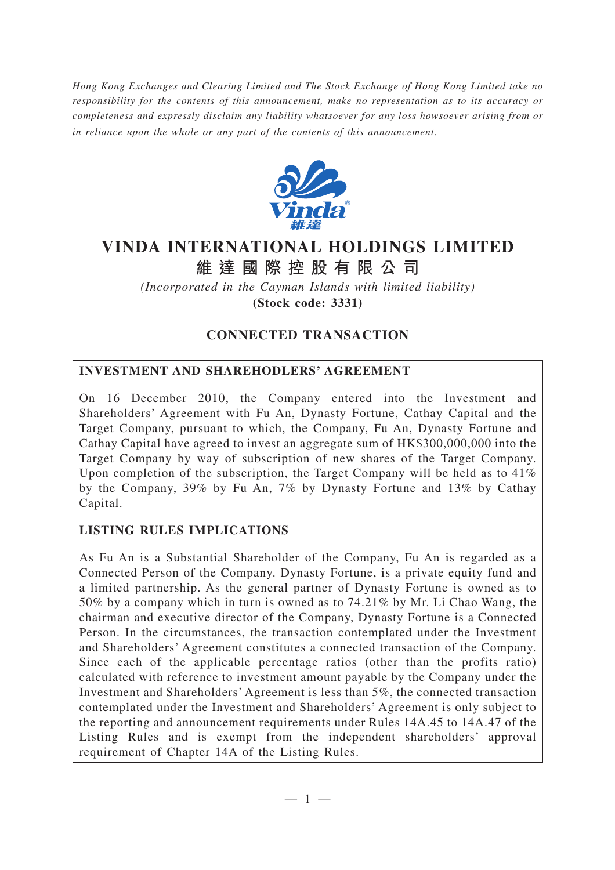*Hong Kong Exchanges and Clearing Limited and The Stock Exchange of Hong Kong Limited take no responsibility for the contents of this announcement, make no representation as to its accuracy or completeness and expressly disclaim any liability whatsoever for any loss howsoever arising from or in reliance upon the whole or any part of the contents of this announcement.*



# **VINDA INTERNATIONAL HOLDINGS LIMITED**

**維達國際控股有限公司**

*(Incorporated in the Cayman Islands with limited liability)*

**(Stock code: 3331)**

# **CONNECTED TRANSACTION**

# **INVESTMENT AND SHAREHODLERS' AGREEMENT**

On 16 December 2010, the Company entered into the Investment and Shareholders' Agreement with Fu An, Dynasty Fortune, Cathay Capital and the Target Company, pursuant to which, the Company, Fu An, Dynasty Fortune and Cathay Capital have agreed to invest an aggregate sum of HK\$300,000,000 into the Target Company by way of subscription of new shares of the Target Company. Upon completion of the subscription, the Target Company will be held as to 41% by the Company, 39% by Fu An, 7% by Dynasty Fortune and 13% by Cathay Capital.

# **LISTING RULES IMPLICATIONS**

As Fu An is a Substantial Shareholder of the Company, Fu An is regarded as a Connected Person of the Company. Dynasty Fortune, is a private equity fund and a limited partnership. As the general partner of Dynasty Fortune is owned as to 50% by a company which in turn is owned as to 74.21% by Mr. Li Chao Wang, the chairman and executive director of the Company, Dynasty Fortune is a Connected Person. In the circumstances, the transaction contemplated under the Investment and Shareholders' Agreement constitutes a connected transaction of the Company. Since each of the applicable percentage ratios (other than the profits ratio) calculated with reference to investment amount payable by the Company under the Investment and Shareholders' Agreement is less than 5%, the connected transaction contemplated under the Investment and Shareholders' Agreement is only subject to the reporting and announcement requirements under Rules 14A.45 to 14A.47 of the Listing Rules and is exempt from the independent shareholders' approval requirement of Chapter 14A of the Listing Rules.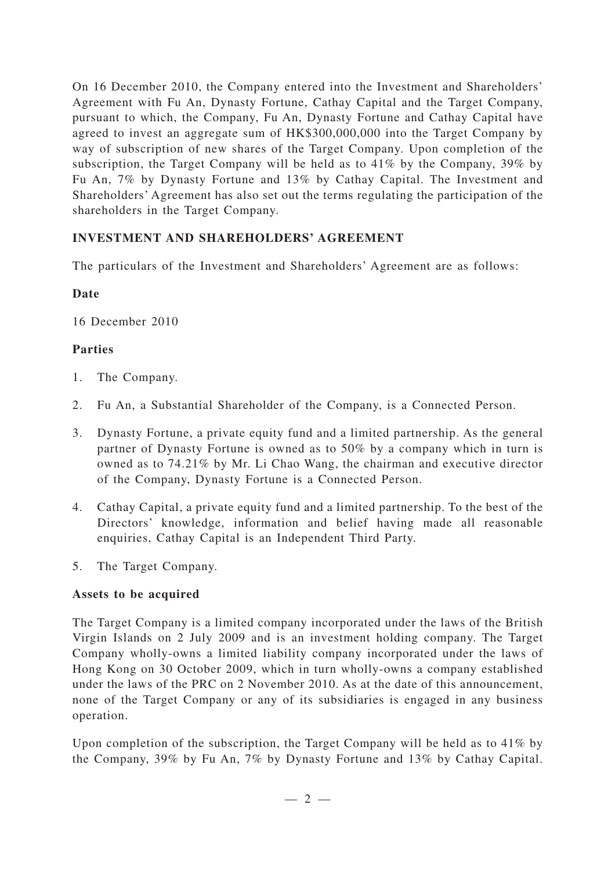On 16 December 2010, the Company entered into the Investment and Shareholders' Agreement with Fu An, Dynasty Fortune, Cathay Capital and the Target Company, pursuant to which, the Company, Fu An, Dynasty Fortune and Cathay Capital have agreed to invest an aggregate sum of HK\$300,000,000 into the Target Company by way of subscription of new shares of the Target Company. Upon completion of the subscription, the Target Company will be held as to 41% by the Company, 39% by Fu An, 7% by Dynasty Fortune and 13% by Cathay Capital. The Investment and Shareholders' Agreement has also set out the terms regulating the participation of the shareholders in the Target Company.

# **INVESTMENT AND SHAREHOLDERS' AGREEMENT**

The particulars of the Investment and Shareholders' Agreement are as follows:

# **Date**

16 December 2010

## **Parties**

- 1. The Company.
- 2. Fu An, a Substantial Shareholder of the Company, is a Connected Person.
- 3. Dynasty Fortune, a private equity fund and a limited partnership. As the general partner of Dynasty Fortune is owned as to 50% by a company which in turn is owned as to 74.21% by Mr. Li Chao Wang, the chairman and executive director of the Company, Dynasty Fortune is a Connected Person.
- 4. Cathay Capital, a private equity fund and a limited partnership. To the best of the Directors' knowledge, information and belief having made all reasonable enquiries, Cathay Capital is an Independent Third Party.
- 5. The Target Company.

## **Assets to be acquired**

The Target Company is a limited company incorporated under the laws of the British Virgin Islands on 2 July 2009 and is an investment holding company. The Target Company wholly-owns a limited liability company incorporated under the laws of Hong Kong on 30 October 2009, which in turn wholly-owns a company established under the laws of the PRC on 2 November 2010. As at the date of this announcement, none of the Target Company or any of its subsidiaries is engaged in any business operation.

Upon completion of the subscription, the Target Company will be held as to 41% by the Company, 39% by Fu An, 7% by Dynasty Fortune and 13% by Cathay Capital.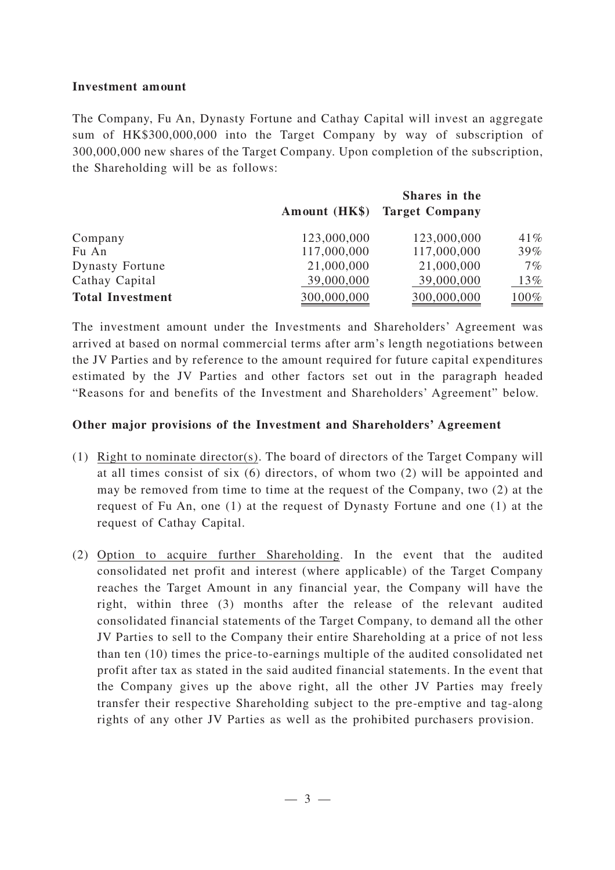#### **Investment amount**

The Company, Fu An, Dynasty Fortune and Cathay Capital will invest an aggregate sum of HK\$300,000,000 into the Target Company by way of subscription of 300,000,000 new shares of the Target Company. Upon completion of the subscription, the Shareholding will be as follows:

|                         | Shares in the |                              |        |
|-------------------------|---------------|------------------------------|--------|
|                         |               | Amount (HK\$) Target Company |        |
| Company                 | 123,000,000   | 123,000,000                  | 41%    |
| Fu An                   | 117,000,000   | 117,000,000                  | $39\%$ |
| <b>Dynasty Fortune</b>  | 21,000,000    | 21,000,000                   | $7\%$  |
| Cathay Capital          | 39,000,000    | 39,000,000                   | 13%    |
| <b>Total Investment</b> | 300,000,000   | 300,000,000                  | 100%   |

The investment amount under the Investments and Shareholders' Agreement was arrived at based on normal commercial terms after arm's length negotiations between the JV Parties and by reference to the amount required for future capital expenditures estimated by the JV Parties and other factors set out in the paragraph headed "Reasons for and benefits of the Investment and Shareholders' Agreement" below.

## **Other major provisions of the Investment and Shareholders' Agreement**

- (1) Right to nominate director(s). The board of directors of the Target Company will at all times consist of six (6) directors, of whom two (2) will be appointed and may be removed from time to time at the request of the Company, two (2) at the request of Fu An, one (1) at the request of Dynasty Fortune and one (1) at the request of Cathay Capital.
- (2) Option to acquire further Shareholding. In the event that the audited consolidated net profit and interest (where applicable) of the Target Company reaches the Target Amount in any financial year, the Company will have the right, within three (3) months after the release of the relevant audited consolidated financial statements of the Target Company, to demand all the other JV Parties to sell to the Company their entire Shareholding at a price of not less than ten (10) times the price-to-earnings multiple of the audited consolidated net profit after tax as stated in the said audited financial statements. In the event that the Company gives up the above right, all the other JV Parties may freely transfer their respective Shareholding subject to the pre-emptive and tag-along rights of any other JV Parties as well as the prohibited purchasers provision.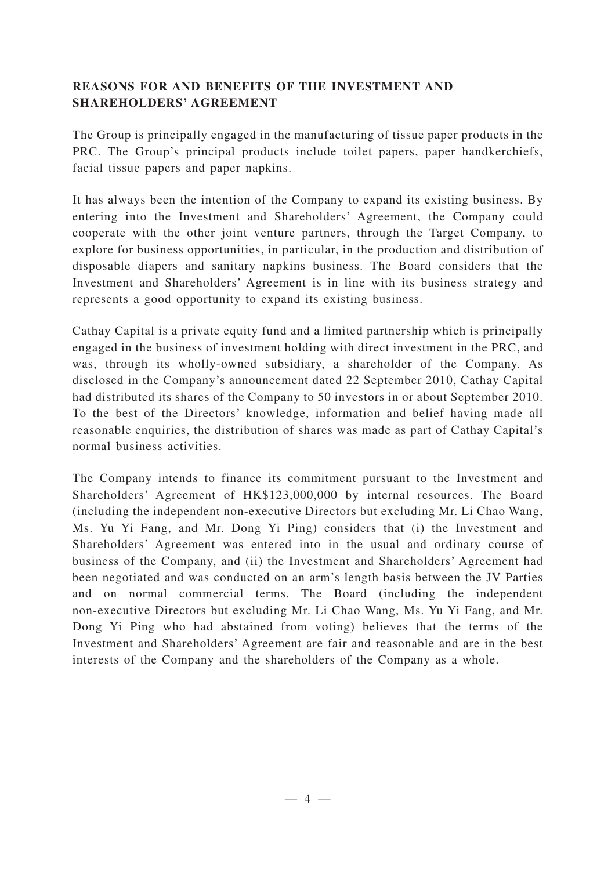# **REASONS FOR AND BENEFITS OF THE INVESTMENT AND SHAREHOLDERS' AGREEMENT**

The Group is principally engaged in the manufacturing of tissue paper products in the PRC. The Group's principal products include toilet papers, paper handkerchiefs, facial tissue papers and paper napkins.

It has always been the intention of the Company to expand its existing business. By entering into the Investment and Shareholders' Agreement, the Company could cooperate with the other joint venture partners, through the Target Company, to explore for business opportunities, in particular, in the production and distribution of disposable diapers and sanitary napkins business. The Board considers that the Investment and Shareholders' Agreement is in line with its business strategy and represents a good opportunity to expand its existing business.

Cathay Capital is a private equity fund and a limited partnership which is principally engaged in the business of investment holding with direct investment in the PRC, and was, through its wholly-owned subsidiary, a shareholder of the Company. As disclosed in the Company's announcement dated 22 September 2010, Cathay Capital had distributed its shares of the Company to 50 investors in or about September 2010. To the best of the Directors' knowledge, information and belief having made all reasonable enquiries, the distribution of shares was made as part of Cathay Capital's normal business activities.

The Company intends to finance its commitment pursuant to the Investment and Shareholders' Agreement of HK\$123,000,000 by internal resources. The Board (including the independent non-executive Directors but excluding Mr. Li Chao Wang, Ms. Yu Yi Fang, and Mr. Dong Yi Ping) considers that (i) the Investment and Shareholders' Agreement was entered into in the usual and ordinary course of business of the Company, and (ii) the Investment and Shareholders' Agreement had been negotiated and was conducted on an arm's length basis between the JV Parties and on normal commercial terms. The Board (including the independent non-executive Directors but excluding Mr. Li Chao Wang, Ms. Yu Yi Fang, and Mr. Dong Yi Ping who had abstained from voting) believes that the terms of the Investment and Shareholders' Agreement are fair and reasonable and are in the best interests of the Company and the shareholders of the Company as a whole.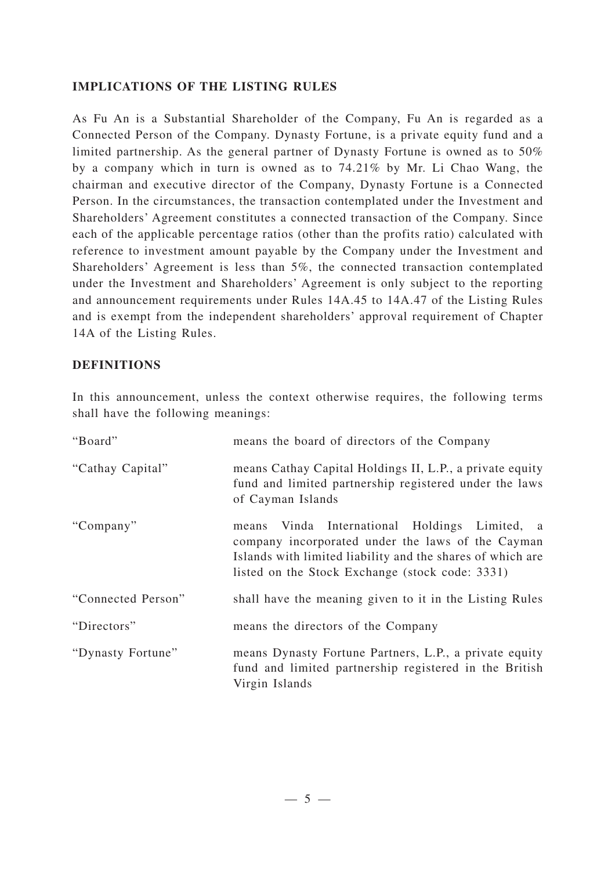# **IMPLICATIONS OF THE LISTING RULES**

As Fu An is a Substantial Shareholder of the Company, Fu An is regarded as a Connected Person of the Company. Dynasty Fortune, is a private equity fund and a limited partnership. As the general partner of Dynasty Fortune is owned as to 50% by a company which in turn is owned as to 74.21% by Mr. Li Chao Wang, the chairman and executive director of the Company, Dynasty Fortune is a Connected Person. In the circumstances, the transaction contemplated under the Investment and Shareholders' Agreement constitutes a connected transaction of the Company. Since each of the applicable percentage ratios (other than the profits ratio) calculated with reference to investment amount payable by the Company under the Investment and Shareholders' Agreement is less than 5%, the connected transaction contemplated under the Investment and Shareholders' Agreement is only subject to the reporting and announcement requirements under Rules 14A.45 to 14A.47 of the Listing Rules and is exempt from the independent shareholders' approval requirement of Chapter 14A of the Listing Rules.

## **DEFINITIONS**

In this announcement, unless the context otherwise requires, the following terms shall have the following meanings:

| "Board"            | means the board of directors of the Company                                                                                                                                                                         |
|--------------------|---------------------------------------------------------------------------------------------------------------------------------------------------------------------------------------------------------------------|
| "Cathay Capital"   | means Cathay Capital Holdings II, L.P., a private equity<br>fund and limited partnership registered under the laws<br>of Cayman Islands                                                                             |
| "Company"          | means Vinda International Holdings Limited, a<br>company incorporated under the laws of the Cayman<br>Islands with limited liability and the shares of which are<br>listed on the Stock Exchange (stock code: 3331) |
| "Connected Person" | shall have the meaning given to it in the Listing Rules                                                                                                                                                             |
| "Directors"        | means the directors of the Company                                                                                                                                                                                  |
| "Dynasty Fortune"  | means Dynasty Fortune Partners, L.P., a private equity<br>fund and limited partnership registered in the British<br>Virgin Islands                                                                                  |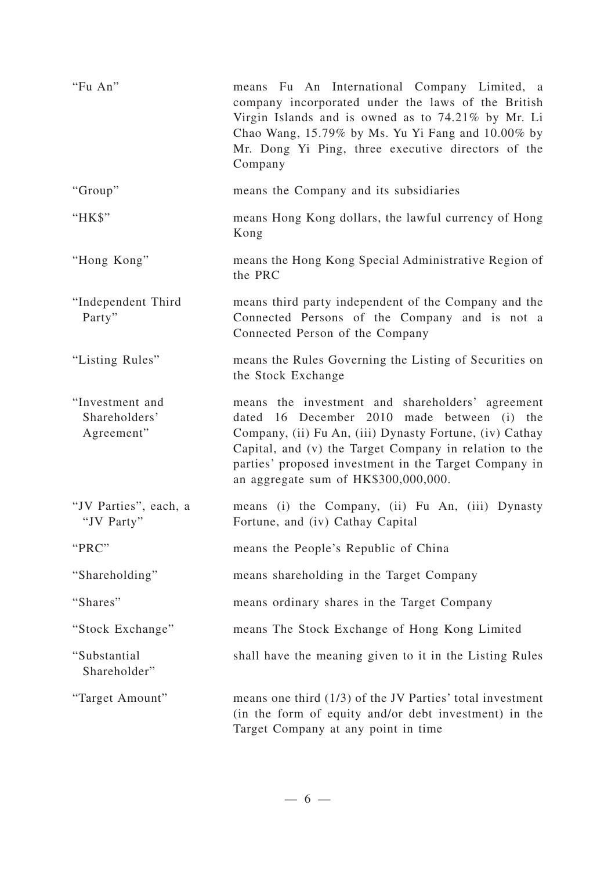| "Fu An"                                        | means Fu An International Company Limited, a<br>company incorporated under the laws of the British<br>Virgin Islands and is owned as to 74.21% by Mr. Li<br>Chao Wang, 15.79% by Ms. Yu Yi Fang and 10.00% by<br>Mr. Dong Yi Ping, three executive directors of the<br>Company                                        |
|------------------------------------------------|-----------------------------------------------------------------------------------------------------------------------------------------------------------------------------------------------------------------------------------------------------------------------------------------------------------------------|
| "Group"                                        | means the Company and its subsidiaries                                                                                                                                                                                                                                                                                |
| "HK\$"                                         | means Hong Kong dollars, the lawful currency of Hong<br>Kong                                                                                                                                                                                                                                                          |
| "Hong Kong"                                    | means the Hong Kong Special Administrative Region of<br>the PRC                                                                                                                                                                                                                                                       |
| "Independent Third<br>Party"                   | means third party independent of the Company and the<br>Connected Persons of the Company and is not a<br>Connected Person of the Company                                                                                                                                                                              |
| "Listing Rules"                                | means the Rules Governing the Listing of Securities on<br>the Stock Exchange                                                                                                                                                                                                                                          |
| "Investment and<br>Shareholders'<br>Agreement" | means the investment and shareholders' agreement<br>dated 16 December 2010 made between (i) the<br>Company, (ii) Fu An, (iii) Dynasty Fortune, (iv) Cathay<br>Capital, and (v) the Target Company in relation to the<br>parties' proposed investment in the Target Company in<br>an aggregate sum of HK\$300,000,000. |
| "JV Parties", each, a<br>"JV Party"            | means (i) the Company, (ii) Fu An, (iii) Dynasty<br>Fortune, and (iv) Cathay Capital                                                                                                                                                                                                                                  |
| "PRC"                                          | means the People's Republic of China                                                                                                                                                                                                                                                                                  |
| "Shareholding"                                 | means shareholding in the Target Company                                                                                                                                                                                                                                                                              |
| "Shares"                                       | means ordinary shares in the Target Company                                                                                                                                                                                                                                                                           |
| "Stock Exchange"                               | means The Stock Exchange of Hong Kong Limited                                                                                                                                                                                                                                                                         |
| "Substantial<br>Shareholder"                   | shall have the meaning given to it in the Listing Rules                                                                                                                                                                                                                                                               |
| "Target Amount"                                | means one third $(1/3)$ of the JV Parties' total investment<br>(in the form of equity and/or debt investment) in the<br>Target Company at any point in time                                                                                                                                                           |